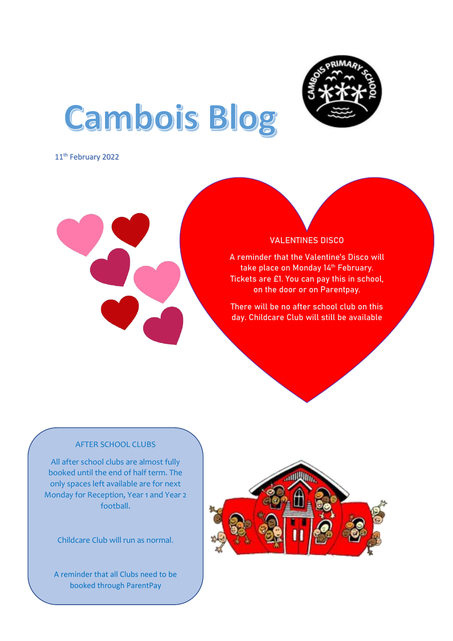

# **Cambois Blog**

11<sup>th</sup> February 2022



# VALENTINES DISCO

A reminder that the Valentine's Disco will take place on Monday 14<sup>th</sup> February. Tickets are £1. You can pay this in school, on the door or on Parentpay.

There will be no after school club on this day. Childcare Club will still be available

# AFTER SCHOOL CLUBS

Í

All after school clubs are almost fully booked until the end of half term. The only spaces left available are for next Monday for Reception, Year 1 and Year 2 football.

Childcare Club will run as normal.

A reminder that all Clubs need to be booked through ParentPay

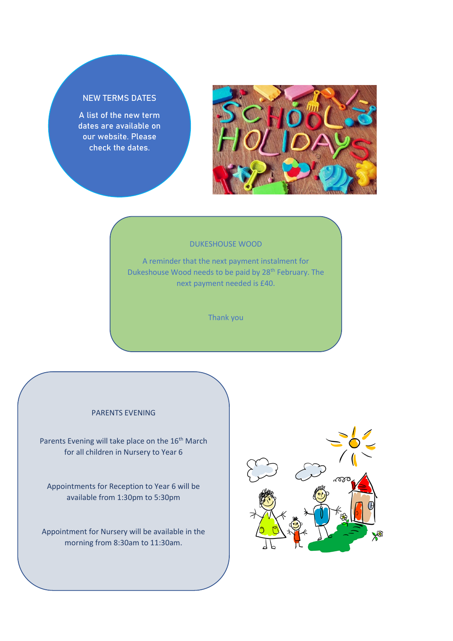# NEW TERMS DATES

A list of the new term dates are available on our website. Please check the dates.



#### DUKESHOUSE WOOD

A reminder that the next payment instalment for Dukeshouse Wood needs to be paid by 28<sup>th</sup> February. The next payment needed is £40.

Thank you

### PARENTS EVENING

Parents Evening will take place on the 16<sup>th</sup> March for all children in Nursery to Year 6

Appointments for Reception to Year 6 will be available from 1:30pm to 5:30pm

Appointment for Nursery will be available in the morning from 8:30am to 11:30am.